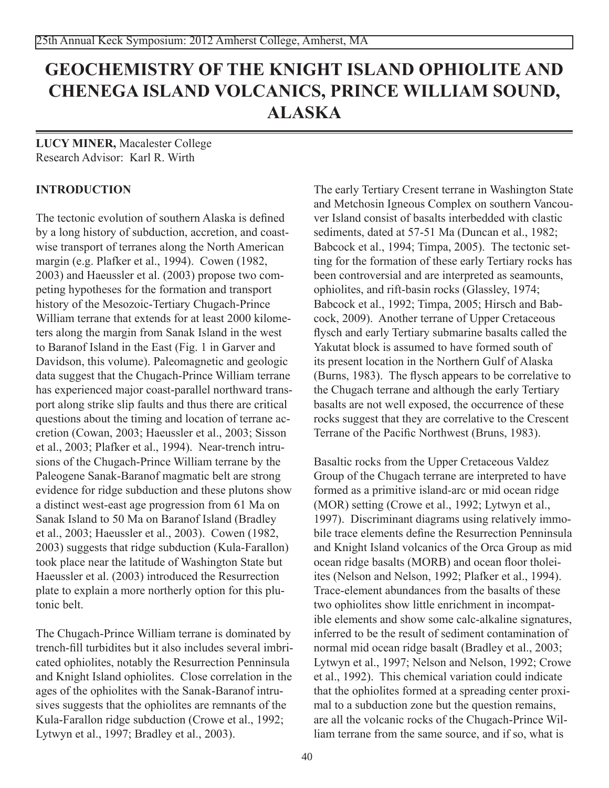# **GEOCHEMISTRY OF THE KNIGHT ISLAND OPHIOLITE AND CHENEGA ISLAND VOLCANICS, PRINCE WILLIAM SOUND, ALASKA**

**lucy miner,** Macalester College Research Advisor: Karl R. Wirth

# **INTRODUCTION**

The tectonic evolution of southern Alaska is defined by a long history of subduction, accretion, and coastwise transport of terranes along the North American margin (e.g. Plafker et al., 1994). Cowen (1982, 2003) and Haeussler et al. (2003) propose two competing hypotheses for the formation and transport history of the Mesozoic-Tertiary Chugach-Prince William terrane that extends for at least 2000 kilometers along the margin from Sanak Island in the west to Baranof Island in the East (Fig. 1 in Garver and Davidson, this volume). Paleomagnetic and geologic data suggest that the Chugach-Prince William terrane has experienced major coast-parallel northward transport along strike slip faults and thus there are critical questions about the timing and location of terrane accretion (Cowan, 2003; Haeussler et al., 2003; Sisson et al., 2003; Plafker et al., 1994). Near-trench intrusions of the Chugach-Prince William terrane by the Paleogene Sanak-Baranof magmatic belt are strong evidence for ridge subduction and these plutons show a distinct west-east age progression from 61 Ma on Sanak Island to 50 Ma on Baranof Island (Bradley et al., 2003; Haeussler et al., 2003). Cowen (1982, 2003) suggests that ridge subduction (Kula-Farallon) took place near the latitude of Washington State but Haeussler et al. (2003) introduced the Resurrection plate to explain a more northerly option for this plutonic belt.

The Chugach-Prince William terrane is dominated by trench-fill turbidites but it also includes several imbricated ophiolites, notably the Resurrection Penninsula and Knight Island ophiolites. Close correlation in the ages of the ophiolites with the Sanak-Baranof intrusives suggests that the ophiolites are remnants of the Kula-Farallon ridge subduction (Crowe et al., 1992; Lytwyn et al., 1997; Bradley et al., 2003).

The early Tertiary Cresent terrane in Washington State and Metchosin Igneous Complex on southern Vancouver Island consist of basalts interbedded with clastic sediments, dated at 57-51 Ma (Duncan et al., 1982; Babcock et al., 1994; Timpa, 2005). The tectonic setting for the formation of these early Tertiary rocks has been controversial and are interpreted as seamounts, ophiolites, and rift-basin rocks (Glassley, 1974; Babcock et al., 1992; Timpa, 2005; Hirsch and Babcock, 2009). Another terrane of Upper Cretaceous flysch and early Tertiary submarine basalts called the Yakutat block is assumed to have formed south of its present location in the Northern Gulf of Alaska (Burns, 1983). The flysch appears to be correlative to the Chugach terrane and although the early Tertiary basalts are not well exposed, the occurrence of these rocks suggest that they are correlative to the Crescent Terrane of the Pacific Northwest (Bruns, 1983).

Basaltic rocks from the Upper Cretaceous Valdez Group of the Chugach terrane are interpreted to have formed as a primitive island-arc or mid ocean ridge (MOR) setting (Crowe et al., 1992; Lytwyn et al., 1997). Discriminant diagrams using relatively immobile trace elements define the Resurrection Penninsula and Knight Island volcanics of the Orca Group as mid ocean ridge basalts (MORB) and ocean floor tholeiites (Nelson and Nelson, 1992; Plafker et al., 1994). Trace-element abundances from the basalts of these two ophiolites show little enrichment in incompatible elements and show some calc-alkaline signatures, inferred to be the result of sediment contamination of normal mid ocean ridge basalt (Bradley et al., 2003; Lytwyn et al., 1997; Nelson and Nelson, 1992; Crowe et al., 1992). This chemical variation could indicate that the ophiolites formed at a spreading center proximal to a subduction zone but the question remains, are all the volcanic rocks of the Chugach-Prince William terrane from the same source, and if so, what is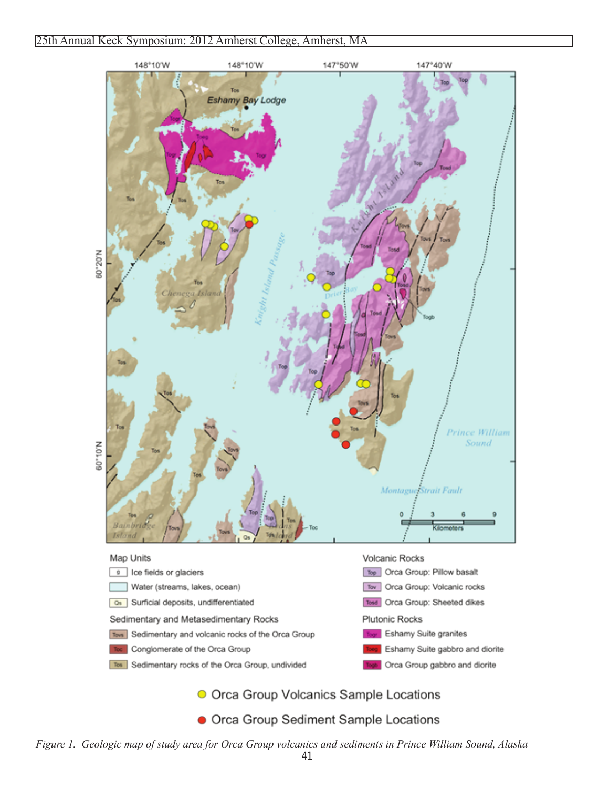#### 25th Annual Keck Symposium: 2012 Amherst College, Amherst, MA



• Orca Group Sediment Sample Locations

*Figure 1. Geologic map of study area for Orca Group volcanics and sediments in Prince William Sound, Alaska*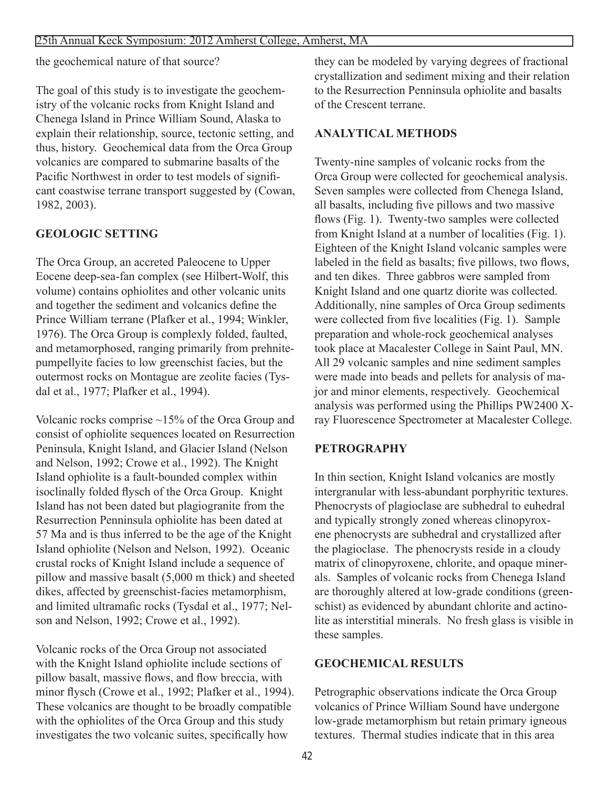the geochemical nature of that source?

The goal of this study is to investigate the geochemistry of the volcanic rocks from Knight Island and Chenega Island in Prince William Sound, Alaska to explain their relationship, source, tectonic setting, and thus, history. Geochemical data from the Orca Group volcanics are compared to submarine basalts of the Pacific Northwest in order to test models of significant coastwise terrane transport suggested by (Cowan, 1982, 2003).

## **GEOLOGIC SETTING**

The Orca Group, an accreted Paleocene to Upper Eocene deep-sea-fan complex (see Hilbert-Wolf, this volume) contains ophiolites and other volcanic units and together the sediment and volcanics define the Prince William terrane (Plafker et al., 1994; Winkler, 1976). The Orca Group is complexly folded, faulted, and metamorphosed, ranging primarily from prehnitepumpellyite facies to low greenschist facies, but the outermost rocks on Montague are zeolite facies (Tysdal et al., 1977; Plafker et al., 1994).

Volcanic rocks comprise ~15% of the Orca Group and consist of ophiolite sequences located on Resurrection Peninsula, Knight Island, and Glacier Island (Nelson and Nelson, 1992; Crowe et al., 1992). The Knight Island ophiolite is a fault-bounded complex within isoclinally folded flysch of the Orca Group. Knight Island has not been dated but plagiogranite from the Resurrection Penninsula ophiolite has been dated at 57 Ma and is thus inferred to be the age of the Knight Island ophiolite (Nelson and Nelson, 1992). Oceanic crustal rocks of Knight Island include a sequence of pillow and massive basalt (5,000 m thick) and sheeted dikes, affected by greenschist-facies metamorphism, and limited ultramafic rocks (Tysdal et al., 1977; Nelson and Nelson, 1992; Crowe et al., 1992).

Volcanic rocks of the Orca Group not associated with the Knight Island ophiolite include sections of pillow basalt, massive flows, and flow breccia, with minor flysch (Crowe et al., 1992; Plafker et al., 1994). These volcanics are thought to be broadly compatible with the ophiolites of the Orca Group and this study investigates the two volcanic suites, specifically how

they can be modeled by varying degrees of fractional crystallization and sediment mixing and their relation to the Resurrection Penninsula ophiolite and basalts of the Crescent terrane.

## **ANALYTICAL METHODS**

Twenty-nine samples of volcanic rocks from the Orca Group were collected for geochemical analysis. Seven samples were collected from Chenega Island, all basalts, including five pillows and two massive flows (Fig. 1). Twenty-two samples were collected from Knight Island at a number of localities (Fig. 1). Eighteen of the Knight Island volcanic samples were labeled in the field as basalts; five pillows, two flows, and ten dikes. Three gabbros were sampled from Knight Island and one quartz diorite was collected. Additionally, nine samples of Orca Group sediments were collected from five localities (Fig. 1). Sample preparation and whole-rock geochemical analyses took place at Macalester College in Saint Paul, MN. All 29 volcanic samples and nine sediment samples were made into beads and pellets for analysis of major and minor elements, respectively. Geochemical analysis was performed using the Phillips PW2400 Xray Fluorescence Spectrometer at Macalester College.

## **PETROGRAPHY**

In thin section, Knight Island volcanics are mostly intergranular with less-abundant porphyritic textures. Phenocrysts of plagioclase are subhedral to euhedral and typically strongly zoned whereas clinopyroxene phenocrysts are subhedral and crystallized after the plagioclase. The phenocrysts reside in a cloudy matrix of clinopyroxene, chlorite, and opaque minerals. Samples of volcanic rocks from Chenega Island are thoroughly altered at low-grade conditions (greenschist) as evidenced by abundant chlorite and actinolite as interstitial minerals. No fresh glass is visible in these samples.

## **GEOCHEMICAL RESULTS**

Petrographic observations indicate the Orca Group volcanics of Prince William Sound have undergone low-grade metamorphism but retain primary igneous textures. Thermal studies indicate that in this area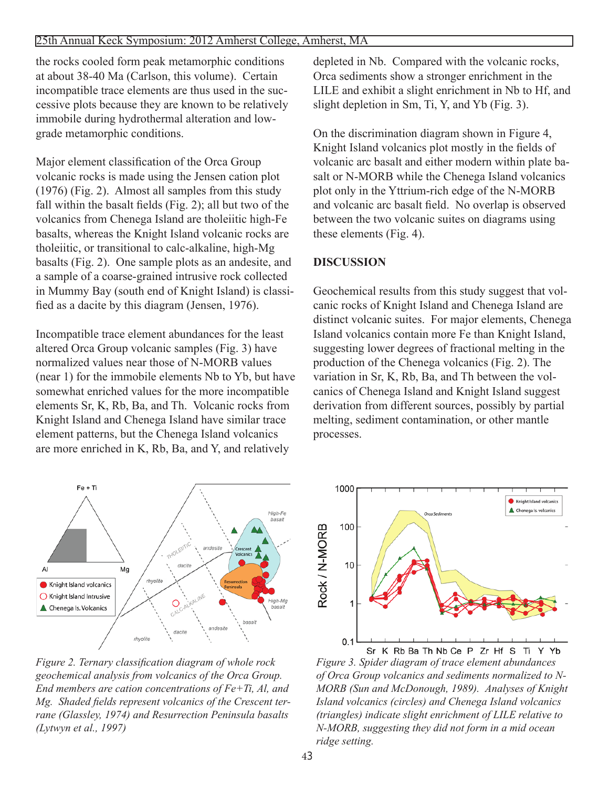#### 25th Annual Keck Symposium: 2012 Amherst College, Amherst, MA

the rocks cooled form peak metamorphic conditions at about 38-40 Ma (Carlson, this volume). Certain incompatible trace elements are thus used in the successive plots because they are known to be relatively immobile during hydrothermal alteration and lowgrade metamorphic conditions.

Major element classification of the Orca Group volcanic rocks is made using the Jensen cation plot (1976) (Fig. 2). Almost all samples from this study fall within the basalt fields (Fig. 2); all but two of the volcanics from Chenega Island are tholeiitic high-Fe basalts, whereas the Knight Island volcanic rocks are tholeiitic, or transitional to calc-alkaline, high-Mg basalts (Fig. 2). One sample plots as an andesite, and a sample of a coarse-grained intrusive rock collected in Mummy Bay (south end of Knight Island) is classified as a dacite by this diagram (Jensen, 1976).

Incompatible trace element abundances for the least altered Orca Group volcanic samples (Fig. 3) have normalized values near those of N-MORB values (near 1) for the immobile elements Nb to Yb, but have somewhat enriched values for the more incompatible elements Sr, K, Rb, Ba, and Th. Volcanic rocks from Knight Island and Chenega Island have similar trace element patterns, but the Chenega Island volcanics are more enriched in K, Rb, Ba, and Y, and relatively

depleted in Nb. Compared with the volcanic rocks, Orca sediments show a stronger enrichment in the LILE and exhibit a slight enrichment in Nb to Hf, and slight depletion in Sm, Ti, Y, and Yb (Fig. 3).

On the discrimination diagram shown in Figure 4, Knight Island volcanics plot mostly in the fields of volcanic arc basalt and either modern within plate basalt or N-MORB while the Chenega Island volcanics plot only in the Yttrium-rich edge of the N-MORB and volcanic arc basalt field. No overlap is observed between the two volcanic suites on diagrams using these elements (Fig. 4).

## **DISCUSSION**

Geochemical results from this study suggest that volcanic rocks of Knight Island and Chenega Island are distinct volcanic suites. For major elements, Chenega Island volcanics contain more Fe than Knight Island, suggesting lower degrees of fractional melting in the production of the Chenega volcanics (Fig. 2). The variation in Sr, K, Rb, Ba, and Th between the volcanics of Chenega Island and Knight Island suggest derivation from different sources, possibly by partial melting, sediment contamination, or other mantle processes.



*Figure 2. Ternary classification diagram of whole rock geochemical analysis from volcanics of the Orca Group. End members are cation concentrations of Fe+Ti, Al, and Mg. Shaded fields represent volcanics of the Crescent terrane (Glassley, 1974) and Resurrection Peninsula basalts (Lytwyn et al., 1997)*



Sr K Rb Ba Th Nb Ce P Zr Hf S *Figure 3. Spider diagram of trace element abundances of Orca Group volcanics and sediments normalized to N-MORB (Sun and McDonough, 1989). Analyses of Knight Island volcanics (circles) and Chenega Island volcanics (triangles) indicate slight enrichment of LILE relative to N-MORB, suggesting they did not form in a mid ocean ridge setting.*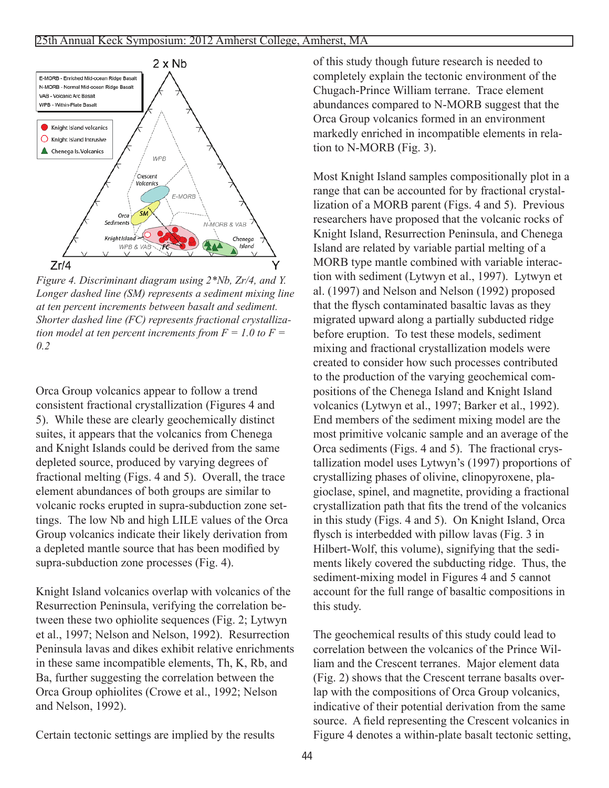

*Figure 4. Discriminant diagram using 2\*Nb, Zr/4, and Y. Longer dashed line (SM) represents a sediment mixing line at ten percent increments between basalt and sediment. Shorter dashed line (FC) represents fractional crystallization model at ten percent increments from*  $F = 1.0$  *to*  $F =$ *0.2*

Orca Group volcanics appear to follow a trend consistent fractional crystallization (Figures 4 and 5). While these are clearly geochemically distinct suites, it appears that the volcanics from Chenega and Knight Islands could be derived from the same depleted source, produced by varying degrees of fractional melting (Figs. 4 and 5). Overall, the trace element abundances of both groups are similar to volcanic rocks erupted in supra-subduction zone settings. The low Nb and high LILE values of the Orca Group volcanics indicate their likely derivation from a depleted mantle source that has been modified by supra-subduction zone processes (Fig. 4).

Knight Island volcanics overlap with volcanics of the Resurrection Peninsula, verifying the correlation between these two ophiolite sequences (Fig. 2; Lytwyn et al., 1997; Nelson and Nelson, 1992). Resurrection Peninsula lavas and dikes exhibit relative enrichments in these same incompatible elements, Th, K, Rb, and Ba, further suggesting the correlation between the Orca Group ophiolites (Crowe et al., 1992; Nelson and Nelson, 1992).

Certain tectonic settings are implied by the results

of this study though future research is needed to completely explain the tectonic environment of the Chugach-Prince William terrane. Trace element abundances compared to N-MORB suggest that the Orca Group volcanics formed in an environment markedly enriched in incompatible elements in relation to N-MORB (Fig. 3).

Most Knight Island samples compositionally plot in a range that can be accounted for by fractional crystallization of a MORB parent (Figs. 4 and 5). Previous researchers have proposed that the volcanic rocks of Knight Island, Resurrection Peninsula, and Chenega Island are related by variable partial melting of a MORB type mantle combined with variable interaction with sediment (Lytwyn et al., 1997). Lytwyn et al. (1997) and Nelson and Nelson (1992) proposed that the flysch contaminated basaltic lavas as they migrated upward along a partially subducted ridge before eruption. To test these models, sediment mixing and fractional crystallization models were created to consider how such processes contributed to the production of the varying geochemical compositions of the Chenega Island and Knight Island volcanics (Lytwyn et al., 1997; Barker et al., 1992). End members of the sediment mixing model are the most primitive volcanic sample and an average of the Orca sediments (Figs. 4 and 5). The fractional crystallization model uses Lytwyn's (1997) proportions of crystallizing phases of olivine, clinopyroxene, plagioclase, spinel, and magnetite, providing a fractional crystallization path that fits the trend of the volcanics in this study (Figs. 4 and 5). On Knight Island, Orca flysch is interbedded with pillow lavas (Fig. 3 in Hilbert-Wolf, this volume), signifying that the sediments likely covered the subducting ridge. Thus, the sediment-mixing model in Figures 4 and 5 cannot account for the full range of basaltic compositions in this study.

The geochemical results of this study could lead to correlation between the volcanics of the Prince William and the Crescent terranes. Major element data (Fig. 2) shows that the Crescent terrane basalts overlap with the compositions of Orca Group volcanics, indicative of their potential derivation from the same source. A field representing the Crescent volcanics in Figure 4 denotes a within-plate basalt tectonic setting,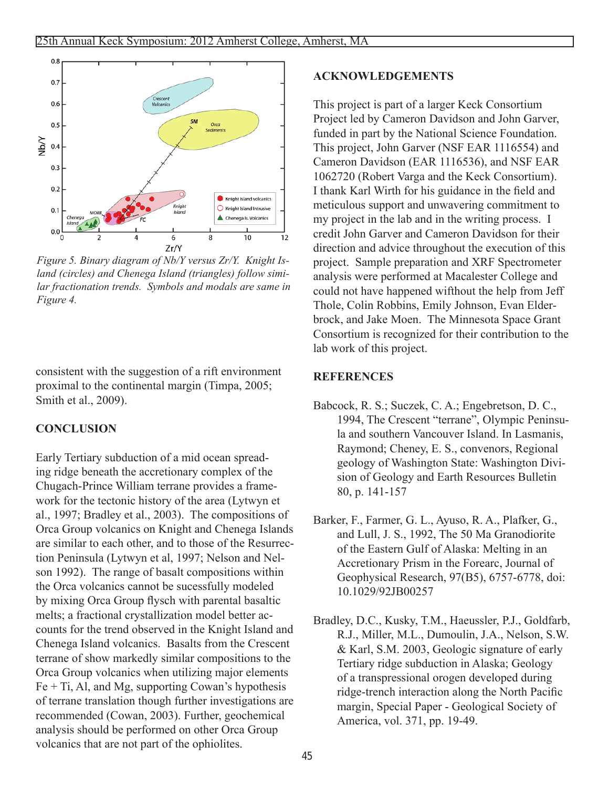

*Figure 5. Binary diagram of Nb/Y versus Zr/Y. Knight Island (circles) and Chenega Island (triangles) follow similar fractionation trends. Symbols and modals are same in Figure 4.*

consistent with the suggestion of a rift environment proximal to the continental margin (Timpa, 2005; Smith et al., 2009).

# **CONCLUSION**

Early Tertiary subduction of a mid ocean spreading ridge beneath the accretionary complex of the Chugach-Prince William terrane provides a framework for the tectonic history of the area (Lytwyn et al., 1997; Bradley et al., 2003). The compositions of Orca Group volcanics on Knight and Chenega Islands are similar to each other, and to those of the Resurrection Peninsula (Lytwyn et al, 1997; Nelson and Nelson 1992). The range of basalt compositions within the Orca volcanics cannot be sucessfully modeled by mixing Orca Group flysch with parental basaltic melts; a fractional crystallization model better accounts for the trend observed in the Knight Island and Chenega Island volcanics. Basalts from the Crescent terrane of show markedly similar compositions to the Orca Group volcanics when utilizing major elements  $Fe + Ti$ , Al, and Mg, supporting Cowan's hypothesis of terrane translation though further investigations are recommended (Cowan, 2003). Further, geochemical analysis should be performed on other Orca Group volcanics that are not part of the ophiolites.

## **ACKNOWLEDGEMENTS**

This project is part of a larger Keck Consortium Project led by Cameron Davidson and John Garver, funded in part by the National Science Foundation. This project, John Garver (NSF EAR 1116554) and Cameron Davidson (EAR 1116536), and NSF EAR 1062720 (Robert Varga and the Keck Consortium). I thank Karl Wirth for his guidance in the field and meticulous support and unwavering commitment to my project in the lab and in the writing process. I credit John Garver and Cameron Davidson for their direction and advice throughout the execution of this project. Sample preparation and XRF Spectrometer analysis were performed at Macalester College and could not have happened wifthout the help from Jeff Thole, Colin Robbins, Emily Johnson, Evan Elderbrock, and Jake Moen. The Minnesota Space Grant Consortium is recognized for their contribution to the lab work of this project.

## **REFERENCES**

- Babcock, R. S.; Suczek, C. A.; Engebretson, D. C., 1994, The Crescent "terrane", Olympic Peninsula and southern Vancouver Island. In Lasmanis, Raymond; Cheney, E. S., convenors, Regional geology of Washington State: Washington Division of Geology and Earth Resources Bulletin 80, p. 141-157
- Barker, F., Farmer, G. L., Ayuso, R. A., Plafker, G., and Lull, J. S., 1992, The 50 Ma Granodiorite of the Eastern Gulf of Alaska: Melting in an Accretionary Prism in the Forearc, Journal of Geophysical Research, 97(B5), 6757-6778, doi: 10.1029/92JB00257
- Bradley, D.C., Kusky, T.M., Haeussler, P.J., Goldfarb, R.J., Miller, M.L., Dumoulin, J.A., Nelson, S.W. & Karl, S.M. 2003, Geologic signature of early Tertiary ridge subduction in Alaska; Geology of a transpressional orogen developed during ridge-trench interaction along the North Pacific margin, Special Paper - Geological Society of America, vol. 371, pp. 19-49.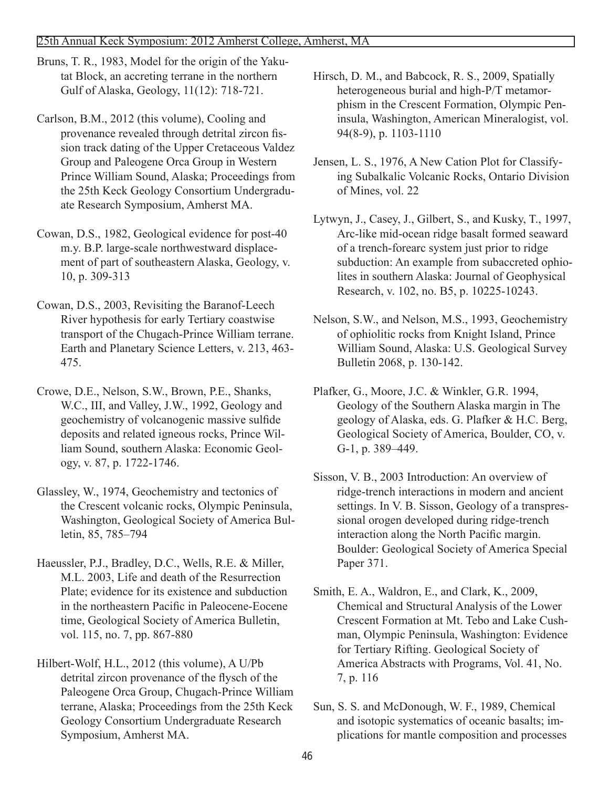Bruns, T. R., 1983, Model for the origin of the Yakutat Block, an accreting terrane in the northern Gulf of Alaska, Geology, 11(12): 718-721.

Carlson, B.M., 2012 (this volume), Cooling and provenance revealed through detrital zircon fission track dating of the Upper Cretaceous Valdez Group and Paleogene Orca Group in Western Prince William Sound, Alaska; Proceedings from the 25th Keck Geology Consortium Undergraduate Research Symposium, Amherst MA.

Cowan, D.S., 1982, Geological evidence for post-40 m.y. B.P. large-scale northwestward displacement of part of southeastern Alaska, Geology, v. 10, p. 309-313

Cowan, D.S., 2003, Revisiting the Baranof-Leech River hypothesis for early Tertiary coastwise transport of the Chugach-Prince William terrane. Earth and Planetary Science Letters, v. 213, 463- 475.

Crowe, D.E., Nelson, S.W., Brown, P.E., Shanks, W.C., III, and Valley, J.W., 1992, Geology and geochemistry of volcanogenic massive sulfide deposits and related igneous rocks, Prince William Sound, southern Alaska: Economic Geology, v. 87, p. 1722-1746.

Glassley, W., 1974, Geochemistry and tectonics of the Crescent volcanic rocks, Olympic Peninsula, Washington, Geological Society of America Bulletin, 85, 785–794

Haeussler, P.J., Bradley, D.C., Wells, R.E. & Miller, M.L. 2003, Life and death of the Resurrection Plate; evidence for its existence and subduction in the northeastern Pacific in Paleocene-Eocene time, Geological Society of America Bulletin, vol. 115, no. 7, pp. 867-880

Hilbert-Wolf, H.L., 2012 (this volume), A U/Pb detrital zircon provenance of the flysch of the Paleogene Orca Group, Chugach-Prince William terrane, Alaska; Proceedings from the 25th Keck Geology Consortium Undergraduate Research Symposium, Amherst MA.

Hirsch, D. M., and Babcock, R. S., 2009, Spatially heterogeneous burial and high-P/T metamorphism in the Crescent Formation, Olympic Peninsula, Washington, American Mineralogist, vol. 94(8-9), p. 1103-1110

Jensen, L. S., 1976, A New Cation Plot for Classifying Subalkalic Volcanic Rocks, Ontario Division of Mines, vol. 22

Lytwyn, J., Casey, J., Gilbert, S., and Kusky, T., 1997, Arc-like mid-ocean ridge basalt formed seaward of a trench-forearc system just prior to ridge subduction: An example from subaccreted ophiolites in southern Alaska: Journal of Geophysical Research, v. 102, no. B5, p. 10225-10243.

Nelson, S.W., and Nelson, M.S., 1993, Geochemistry of ophiolitic rocks from Knight Island, Prince William Sound, Alaska: U.S. Geological Survey Bulletin 2068, p. 130-142.

Plafker, G., Moore, J.C. & Winkler, G.R. 1994, Geology of the Southern Alaska margin in The geology of Alaska, eds. G. Plafker & H.C. Berg, Geological Society of America, Boulder, CO, v. G-1, p. 389–449.

Sisson, V. B., 2003 Introduction: An overview of ridge-trench interactions in modern and ancient settings. In V. B. Sisson, Geology of a transpressional orogen developed during ridge-trench interaction along the North Pacific margin. Boulder: Geological Society of America Special Paper 371.

Smith, E. A., Waldron, E., and Clark, K., 2009, Chemical and Structural Analysis of the Lower Crescent Formation at Mt. Tebo and Lake Cushman, Olympic Peninsula, Washington: Evidence for Tertiary Rifting. Geological Society of America Abstracts with Programs, Vol. 41, No. 7, p. 116

Sun, S. S. and McDonough, W. F., 1989, Chemical and isotopic systematics of oceanic basalts; implications for mantle composition and processes